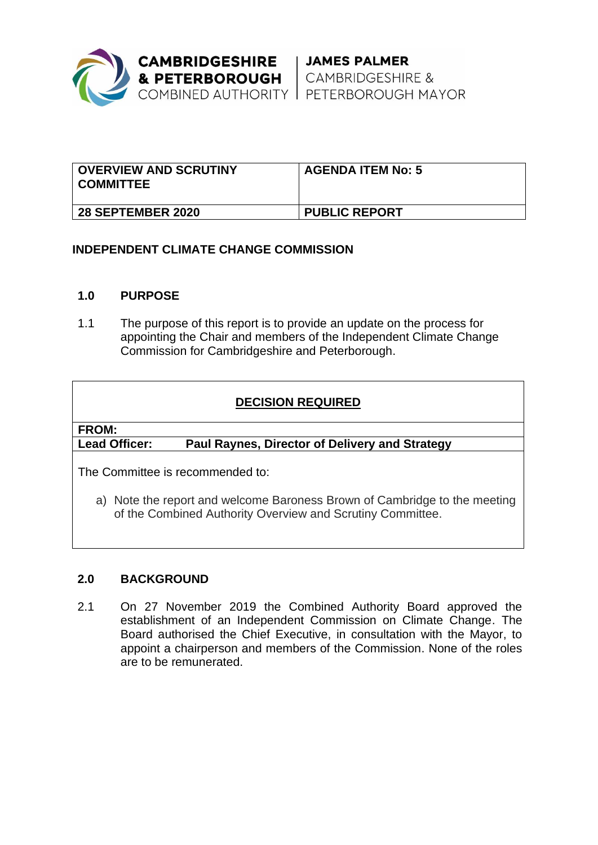

| <b>OVERVIEW AND SCRUTINY</b><br>' COMMITTEE | <b>AGENDA ITEM No: 5</b> |
|---------------------------------------------|--------------------------|
| <b>28 SEPTEMBER 2020</b>                    | <b>PUBLIC REPORT</b>     |

# **INDEPENDENT CLIMATE CHANGE COMMISSION**

## **1.0 PURPOSE**

1.1 The purpose of this report is to provide an update on the process for appointing the Chair and members of the Independent Climate Change Commission for Cambridgeshire and Peterborough.

# **DECISION REQUIRED**

## **FROM:**

# **Lead Officer: Paul Raynes, Director of Delivery and Strategy**

The Committee is recommended to:

a) Note the report and welcome Baroness Brown of Cambridge to the meeting of the Combined Authority Overview and Scrutiny Committee.

## **2.0 BACKGROUND**

2.1 On 27 November 2019 the Combined Authority Board approved the establishment of an Independent Commission on Climate Change. The Board authorised the Chief Executive, in consultation with the Mayor, to appoint a chairperson and members of the Commission. None of the roles are to be remunerated.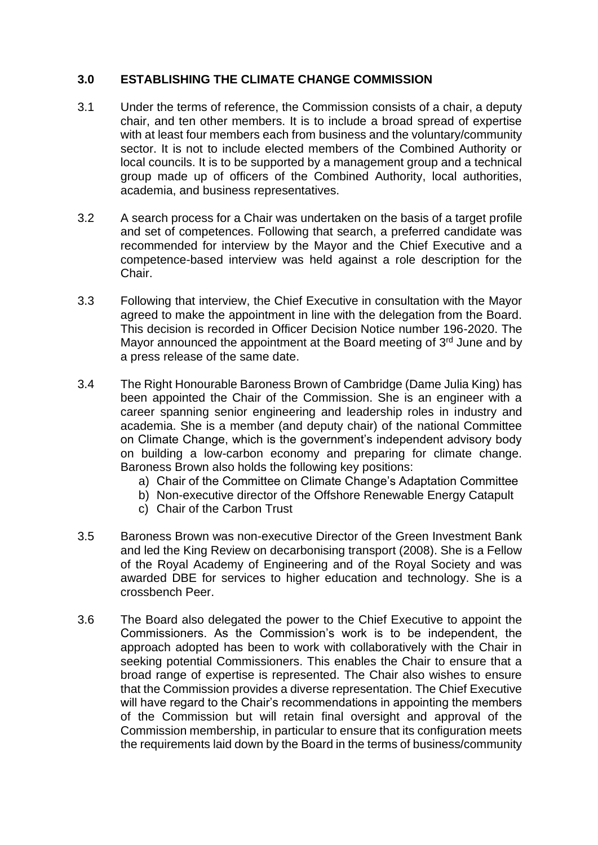# **3.0 ESTABLISHING THE CLIMATE CHANGE COMMISSION**

- 3.1 Under the terms of reference, the Commission consists of a chair, a deputy chair, and ten other members. It is to include a broad spread of expertise with at least four members each from business and the voluntary/community sector. It is not to include elected members of the Combined Authority or local councils. It is to be supported by a management group and a technical group made up of officers of the Combined Authority, local authorities, academia, and business representatives.
- 3.2 A search process for a Chair was undertaken on the basis of a target profile and set of competences. Following that search, a preferred candidate was recommended for interview by the Mayor and the Chief Executive and a competence-based interview was held against a role description for the Chair.
- 3.3 Following that interview, the Chief Executive in consultation with the Mayor agreed to make the appointment in line with the delegation from the Board. This decision is recorded in Officer Decision Notice number 196-2020. The Mayor announced the appointment at the Board meeting of  $3<sup>rd</sup>$  June and by a press release of the same date.
- 3.4 The Right Honourable Baroness Brown of Cambridge (Dame Julia King) has been appointed the Chair of the Commission. She is an engineer with a career spanning senior engineering and leadership roles in industry and academia. She is a member (and deputy chair) of the national Committee on Climate Change, which is the government's independent advisory body on building a low-carbon economy and preparing for climate change. Baroness Brown also holds the following key positions:
	- a) Chair of the Committee on Climate Change's Adaptation Committee
	- b) Non-executive director of the Offshore Renewable Energy Catapult
	- c) Chair of the Carbon Trust
- 3.5 Baroness Brown was non-executive Director of the Green Investment Bank and led the King Review on decarbonising transport (2008). She is a Fellow of the Royal Academy of Engineering and of the Royal Society and was awarded DBE for services to higher education and technology. She is a crossbench Peer.
- 3.6 The Board also delegated the power to the Chief Executive to appoint the Commissioners. As the Commission's work is to be independent, the approach adopted has been to work with collaboratively with the Chair in seeking potential Commissioners. This enables the Chair to ensure that a broad range of expertise is represented. The Chair also wishes to ensure that the Commission provides a diverse representation. The Chief Executive will have regard to the Chair's recommendations in appointing the members of the Commission but will retain final oversight and approval of the Commission membership, in particular to ensure that its configuration meets the requirements laid down by the Board in the terms of business/community